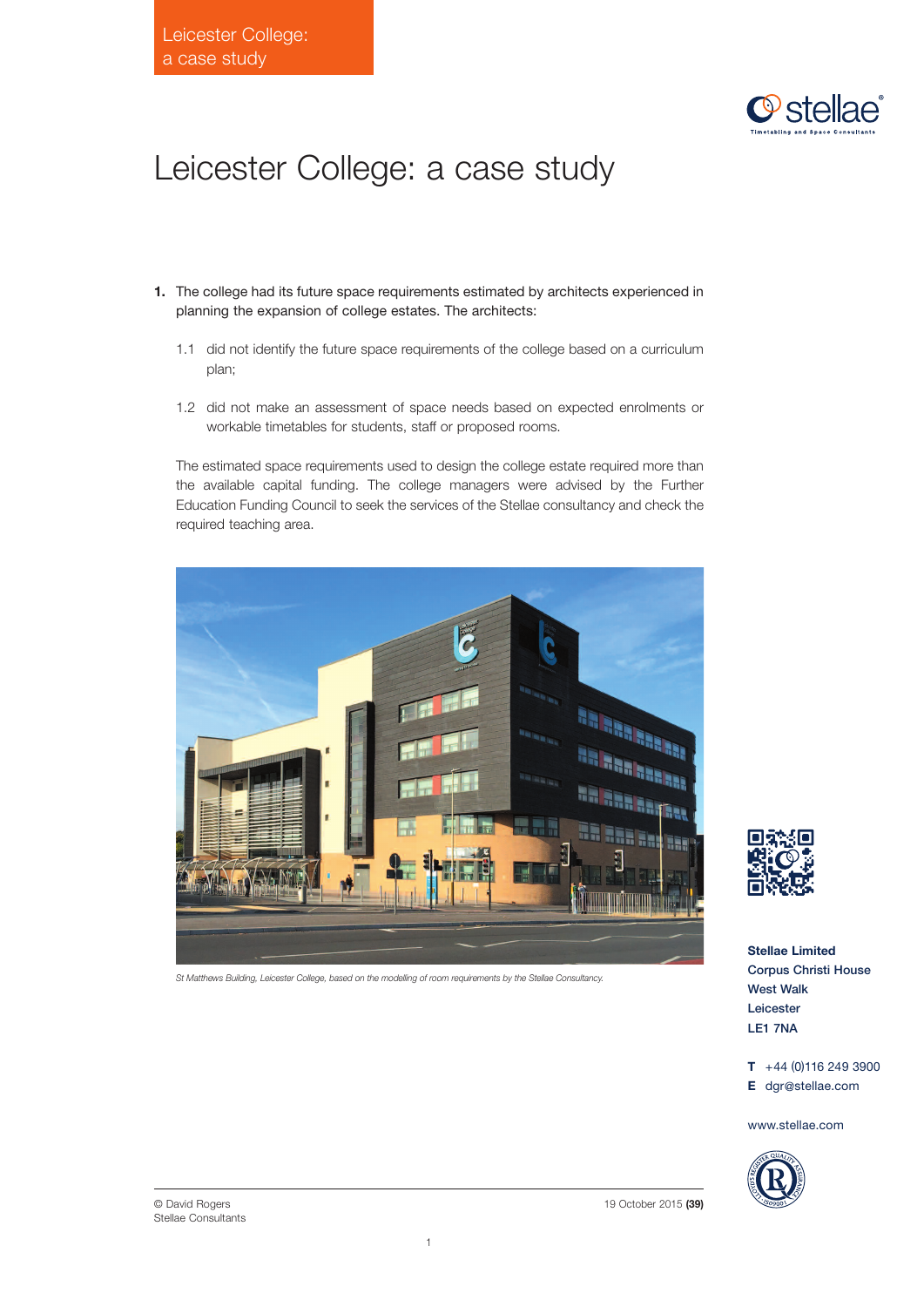

## Leicester College: a case study

- **1.** The college had its future space requirements estimated by architects experienced in planning the expansion of college estates. The architects:
	- 1.1 did not identify the future space requirements of the college based on a curriculum plan;
	- 1.2 did not make an assessment of space needs based on expected enrolments or workable timetables for students, staff or proposed rooms.

The estimated space requirements used to design the college estate required more than the available capital funding. The college managers were advised by the Further Education Funding Council to seek the services of the Stellae consultancy and check the required teaching area.



*St Matthews Building, Leicester College, based on the modelling of room requirements by the Stellae Consultancy.*



**Stellae Limited** Corpus Christi House West Walk Leicester LE1 7NA

**T** +44 (0)116 249 3900 **E** dgr@stellae.com

www.stellae.com



19 October 2015 **(39)**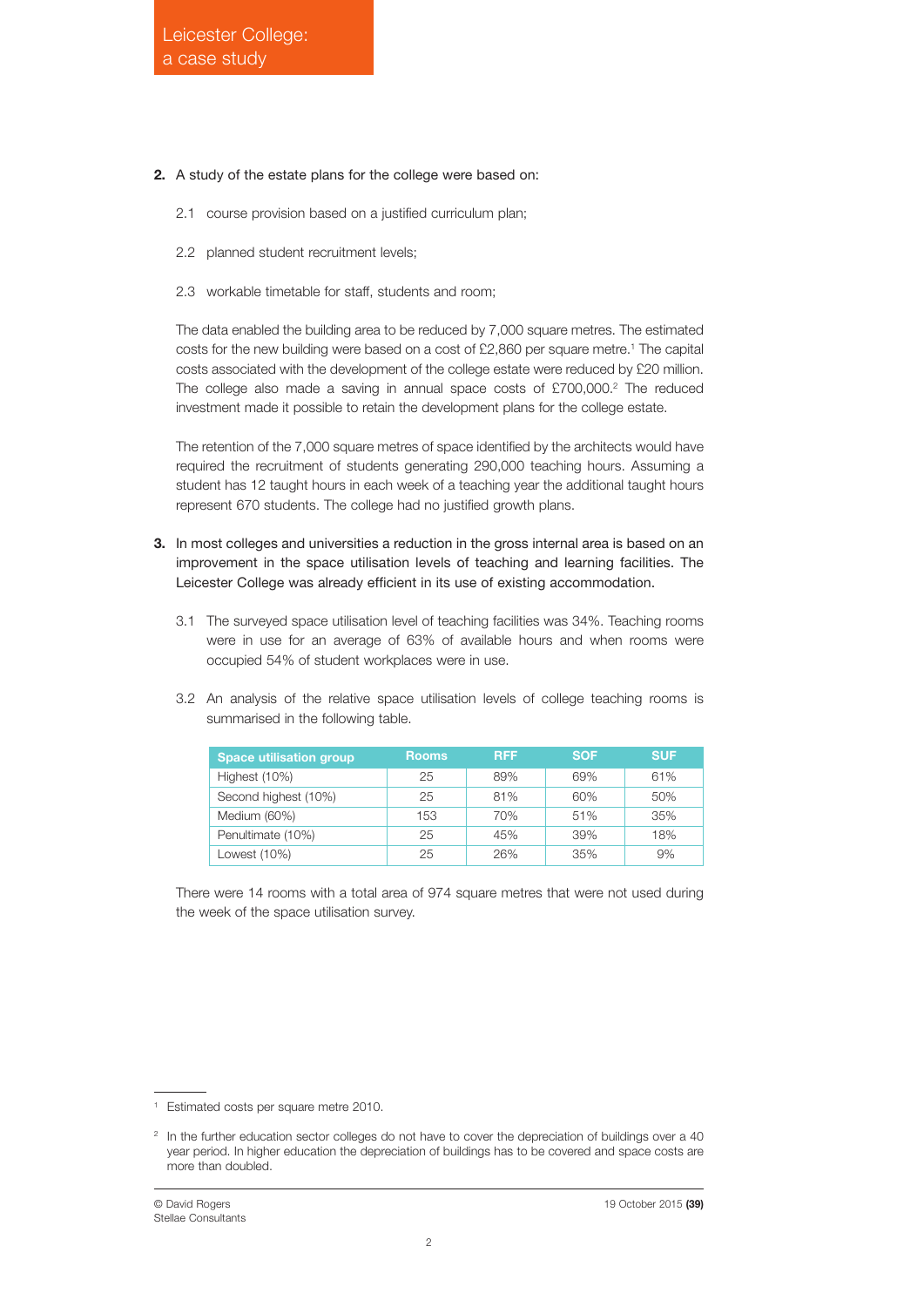## **2.** A study of the estate plans for the college were based on:

- 2.1 course provision based on a justified curriculum plan;
- 2.2 planned student recruitment levels;
- 2.3 workable timetable for staff, students and room;

The data enabled the building area to be reduced by 7,000 square metres. The estimated costs for the new building were based on a cost of £2,860 per square metre. <sup>1</sup> The capital costs associated with the development of the college estate were reduced by £20 million. The college also made a saving in annual space costs of £700,000. <sup>2</sup> The reduced investment made it possible to retain the development plans for the college estate.

The retention of the 7,000 square metres of space identified by the architects would have required the recruitment of students generating 290,000 teaching hours. Assuming a student has 12 taught hours in each week of a teaching year the additional taught hours represent 670 students. The college had no justified growth plans.

- **3.** In most colleges and universities a reduction in the gross internal area is based on an improvement in the space utilisation levels of teaching and learning facilities. The Leicester College was already efficient in its use of existing accommodation.
	- 3.1 The surveyed space utilisation level of teaching facilities was 34%. Teaching rooms were in use for an average of 63% of available hours and when rooms were occupied 54% of student workplaces were in use.
	- 3.2 An analysis of the relative space utilisation levels of college teaching rooms is summarised in the following table.

| <b>Space utilisation group</b> | <b>Rooms</b> | <b>RFF</b> | <b>SOF</b> | <b>SUF</b> |
|--------------------------------|--------------|------------|------------|------------|
| Highest (10%)                  | 25           | 89%        | 69%        | 61%        |
| Second highest (10%)           | 25           | 81%        | 60%        | 50%        |
| Medium (60%)                   | 153          | 70%        | 51%        | 35%        |
| Penultimate (10%)              | 25           | 45%        | 39%        | 18%        |
| Lowest (10%)                   | 25           | 26%        | 35%        | 9%         |

There were 14 rooms with a total area of 974 square metres that were not used during the week of the space utilisation survey.

<sup>1</sup> Estimated costs per square metre 2010.

<sup>&</sup>lt;sup>2</sup> In the further education sector colleges do not have to cover the depreciation of buildings over a 40 year period. In higher education the depreciation of buildings has to be covered and space costs are more than doubled.